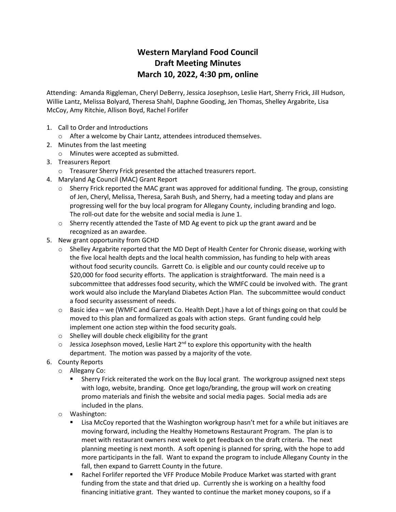# **Western Maryland Food Council Draft Meeting Minutes March 10, 2022, 4:30 pm, online**

Attending: Amanda Riggleman, Cheryl DeBerry, Jessica Josephson, Leslie Hart, Sherry Frick, Jill Hudson, Willie Lantz, Melissa Bolyard, Theresa Shahl, Daphne Gooding, Jen Thomas, Shelley Argabrite, Lisa McCoy, Amy Ritchie, Allison Boyd, Rachel Forlifer

- 1. Call to Order and Introductions
	- o After a welcome by Chair Lantz, attendees introduced themselves.
- 2. Minutes from the last meeting
	- o Minutes were accepted as submitted.
- 3. Treasurers Report
	- o Treasurer Sherry Frick presented the attached treasurers report.
- 4. Maryland Ag Council (MAC) Grant Report
	- $\circ$  Sherry Frick reported the MAC grant was approved for additional funding. The group, consisting of Jen, Cheryl, Melissa, Theresa, Sarah Bush, and Sherry, had a meeting today and plans are progressing well for the buy local program for Allegany County, including branding and logo. The roll-out date for the website and social media is June 1.
	- $\circ$  Sherry recently attended the Taste of MD Ag event to pick up the grant award and be recognized as an awardee.
- 5. New grant opportunity from GCHD
	- o Shelley Argabrite reported that the MD Dept of Health Center for Chronic disease, working with the five local health depts and the local health commission, has funding to help with areas without food security councils. Garrett Co. is eligible and our county could receive up to \$20,000 for food security efforts. The application is straightforward. The main need is a subcommittee that addresses food security, which the WMFC could be involved with. The grant work would also include the Maryland Diabetes Action Plan. The subcommittee would conduct a food security assessment of needs.
	- $\circ$  Basic idea we (WMFC and Garrett Co. Health Dept.) have a lot of things going on that could be moved to this plan and formalized as goals with action steps. Grant funding could help implement one action step within the food security goals.
	- o Shelley will double check eligibility for the grant
	- $\circ$  Jessica Josephson moved, Leslie Hart 2<sup>nd</sup> to explore this opportunity with the health department. The motion was passed by a majority of the vote.
- 6. County Reports
	- o Allegany Co:
		- Sherry Frick reiterated the work on the Buy local grant. The workgroup assigned next steps with logo, website, branding. Once get logo/branding, the group will work on creating promo materials and finish the website and social media pages. Social media ads are included in the plans.
	- o Washington:
		- Lisa McCoy reported that the Washington workgroup hasn't met for a while but initiaves are moving forward, including the Healthy Hometowns Restaurant Program. The plan is to meet with restaurant owners next week to get feedback on the draft criteria. The next planning meeting is next month. A soft opening is planned for spring, with the hope to add more participants in the fall. Want to expand the program to include Allegany County in the fall, then expand to Garrett County in the future.
		- Rachel Forlifer reported the VFF Produce Mobile Produce Market was started with grant funding from the state and that dried up. Currently she is working on a healthy food financing initiative grant. They wanted to continue the market money coupons, so if a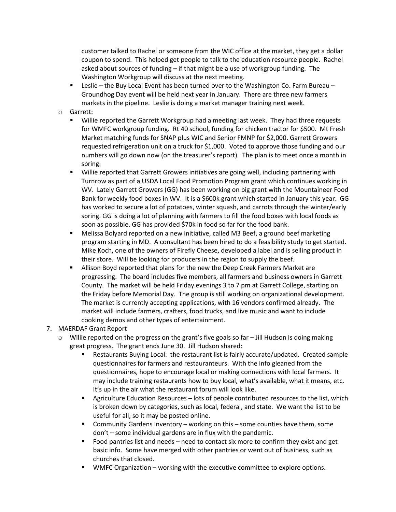customer talked to Rachel or someone from the WIC office at the market, they get a dollar coupon to spend. This helped get people to talk to the education resource people. Rachel asked about sources of funding – if that might be a use of workgroup funding. The Washington Workgroup will discuss at the next meeting.

- Leslie the Buy Local Event has been turned over to the Washington Co. Farm Bureau Groundhog Day event will be held next year in January. There are three new farmers markets in the pipeline. Leslie is doing a market manager training next week.
- o Garrett:
	- Willie reported the Garrett Workgroup had a meeting last week. They had three requests for WMFC workgroup funding. Rt 40 school, funding for chicken tractor for \$500. Mt Fresh Market matching funds for SNAP plus WIC and Senior FMNP for \$2,000. Garrett Growers requested refrigeration unit on a truck for \$1,000. Voted to approve those funding and our numbers will go down now (on the treasurer's report). The plan is to meet once a month in spring.
	- Willie reported that Garrett Growers initiatives are going well, including partnering with Turnrow as part of a USDA Local Food Promotion Program grant which continues working in WV. Lately Garrett Growers (GG) has been working on big grant with the Mountaineer Food Bank for weekly food boxes in WV. It is a \$600k grant which started in January this year. GG has worked to secure a lot of potatoes, winter squash, and carrots through the winter/early spring. GG is doing a lot of planning with farmers to fill the food boxes with local foods as soon as possible. GG has provided \$70k in food so far for the food bank.
	- Melissa Bolyard reported on a new initiative, called M3 Beef, a ground beef marketing program starting in MD. A consultant has been hired to do a feasibility study to get started. Mike Koch, one of the owners of Firefly Cheese, developed a label and is selling product in their store. Will be looking for producers in the region to supply the beef.
	- Allison Boyd reported that plans for the new the Deep Creek Farmers Market are progressing. The board includes five members, all farmers and business owners in Garrett County. The market will be held Friday evenings 3 to 7 pm at Garrett College, starting on the Friday before Memorial Day. The group is still working on organizational development. The market is currently accepting applications, with 16 vendors confirmed already. The market will include farmers, crafters, food trucks, and live music and want to include cooking demos and other types of entertainment.
- 7. MAERDAF Grant Report
	- $\circ$  Willie reported on the progress on the grant's five goals so far Jill Hudson is doing making great progress. The grant ends June 30. Jill Hudson shared:
		- Restaurants Buying Local: the restaurant list is fairly accurate/updated. Created sample questionnaires for farmers and restauranteurs. With the info gleaned from the questionnaires, hope to encourage local or making connections with local farmers. It may include training restaurants how to buy local, what's available, what it means, etc. It's up in the air what the restaurant forum will look like.
		- **EXECT** Agriculture Education Resources lots of people contributed resources to the list, which is broken down by categories, such as local, federal, and state. We want the list to be useful for all, so it may be posted online.
		- Community Gardens Inventory working on this some counties have them, some don't – some individual gardens are in flux with the pandemic.
		- Food pantries list and needs need to contact six more to confirm they exist and get basic info. Some have merged with other pantries or went out of business, such as churches that closed.
		- WMFC Organization working with the executive committee to explore options.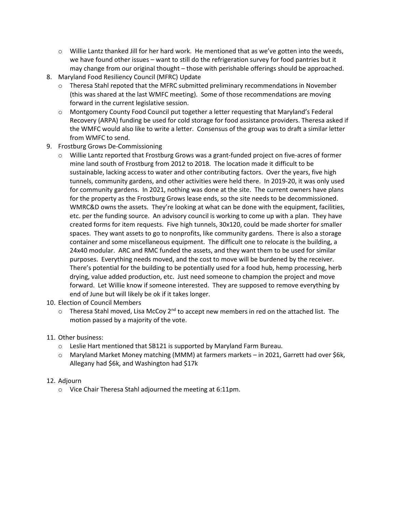- $\circ$  Willie Lantz thanked Jill for her hard work. He mentioned that as we've gotten into the weeds, we have found other issues – want to still do the refrigeration survey for food pantries but it may change from our original thought – those with perishable offerings should be approached.
- 8. Maryland Food Resiliency Council (MFRC) Update
	- $\circ$  Theresa Stahl repoted that the MFRC submitted preliminary recommendations in November (this was shared at the last WMFC meeting). Some of those recommendations are moving forward in the current legislative session.
	- o Montgomery County Food Council put together a letter requesting that Maryland's Federal Recovery (ARPA) funding be used for cold storage for food assistance providers. Theresa asked if the WMFC would also like to write a letter. Consensus of the group was to draft a similar letter from WMFC to send.
- 9. Frostburg Grows De-Commissioning
	- o Willie Lantz reported that Frostburg Grows was a grant-funded project on five-acres of former mine land south of Frostburg from 2012 to 2018. The location made it difficult to be sustainable, lacking access to water and other contributing factors. Over the years, five high tunnels, community gardens, and other activities were held there. In 2019-20, it was only used for community gardens. In 2021, nothing was done at the site. The current owners have plans for the property as the Frostburg Grows lease ends, so the site needs to be decommissioned. WMRC&D owns the assets. They're looking at what can be done with the equipment, facilities, etc. per the funding source. An advisory council is working to come up with a plan. They have created forms for item requests. Five high tunnels, 30x120, could be made shorter for smaller spaces. They want assets to go to nonprofits, like community gardens. There is also a storage container and some miscellaneous equipment. The difficult one to relocate is the building, a 24x40 modular. ARC and RMC funded the assets, and they want them to be used for similar purposes. Everything needs moved, and the cost to move will be burdened by the receiver. There's potential for the building to be potentially used for a food hub, hemp processing, herb drying, value added production, etc. Just need someone to champion the project and move forward. Let Willie know if someone interested. They are supposed to remove everything by end of June but will likely be ok if it takes longer.
- 10. Election of Council Members
	- $\circ$  Theresa Stahl moved, Lisa McCoy 2<sup>nd</sup> to accept new members in red on the attached list. The motion passed by a majority of the vote.
- 11. Other business:
	- $\circ$  Leslie Hart mentioned that SB121 is supported by Maryland Farm Bureau.
	- o Maryland Market Money matching (MMM) at farmers markets in 2021, Garrett had over \$6k, Allegany had \$6k, and Washington had \$17k
- 12. Adjourn
	- o Vice Chair Theresa Stahl adjourned the meeting at 6:11pm.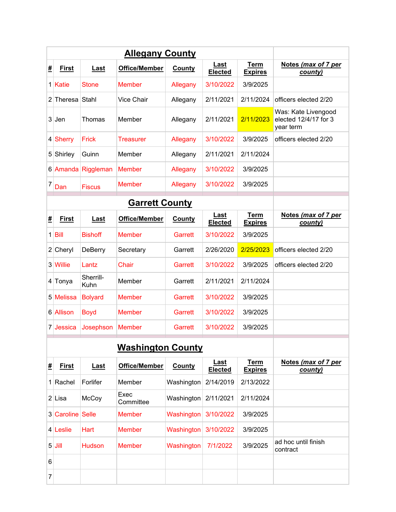|   | <b>Allegany County</b> |                   |                          |               |                               |                               |                                                           |  |  |  |
|---|------------------------|-------------------|--------------------------|---------------|-------------------------------|-------------------------------|-----------------------------------------------------------|--|--|--|
| # | <b>First</b>           | Last              | <b>Office/Member</b>     | County        | Last<br><b>Elected</b>        | <b>Term</b><br><b>Expires</b> | Notes (max of 7 per<br>county)                            |  |  |  |
|   | 1 Katie                | <b>Stone</b>      | <b>Member</b>            | Allegany      | 3/10/2022                     | 3/9/2025                      |                                                           |  |  |  |
|   | 2 Theresa Stahl        |                   | <b>Vice Chair</b>        | Allegany      | 2/11/2021                     | 2/11/2024                     | officers elected 2/20                                     |  |  |  |
|   | $3$ Jen                | Thomas            | Member                   | Allegany      | 2/11/2021                     | 2/11/2023                     | Was: Kate Livengood<br>elected 12/4/17 for 3<br>year term |  |  |  |
|   | 4 Sherry               | Frick             | <b>Treasurer</b>         | Allegany      | 3/10/2022                     | 3/9/2025                      | officers elected 2/20                                     |  |  |  |
|   | 5 Shirley              | Guinn             | Member                   | Allegany      | 2/11/2021                     | 2/11/2024                     |                                                           |  |  |  |
|   | 6 Amanda               | Riggleman         | <b>Member</b>            | Allegany      | 3/10/2022                     | 3/9/2025                      |                                                           |  |  |  |
| 7 | Dan                    | <b>Fiscus</b>     | <b>Member</b>            | Allegany      | 3/10/2022                     | 3/9/2025                      |                                                           |  |  |  |
|   |                        |                   | <b>Garrett County</b>    |               |                               |                               |                                                           |  |  |  |
| # | <b>First</b>           | <u>Last</u>       | <b>Office/Member</b>     | County        | Last<br><b>Elected</b>        | <b>Term</b><br><b>Expires</b> | Notes (max of 7 per<br>county)                            |  |  |  |
|   | $1$ Bill               | <b>Bishoff</b>    | <b>Member</b>            | Garrett       | 3/10/2022                     | 3/9/2025                      |                                                           |  |  |  |
|   | $2$ Cheryl             | <b>DeBerry</b>    | Secretary                | Garrett       | 2/26/2020                     | 2/25/2023                     | officers elected 2/20                                     |  |  |  |
|   | 3 Willie               | Lantz             | Chair                    | Garrett       | 3/10/2022                     | 3/9/2025                      | officers elected 2/20                                     |  |  |  |
|   | 4 Tonya                | Sherrill-<br>Kuhn | Member                   | Garrett       | 2/11/2021                     | 2/11/2024                     |                                                           |  |  |  |
|   | 5 Melissa              | <b>Bolyard</b>    | <b>Member</b>            | Garrett       | 3/10/2022                     | 3/9/2025                      |                                                           |  |  |  |
|   | 6 Allison              | <b>Boyd</b>       | <b>Member</b>            | Garrett       | 3/10/2022                     | 3/9/2025                      |                                                           |  |  |  |
|   | 7 Jessica              | Josephson         | <b>Member</b>            | Garrett       | 3/10/2022                     | 3/9/2025                      |                                                           |  |  |  |
|   |                        |                   | <b>Washington County</b> |               |                               |                               |                                                           |  |  |  |
| # | <b>First</b>           | <b>Last</b>       | <b>Office/Member</b>     | <b>County</b> | <u>Last</u><br><b>Elected</b> | <b>Term</b><br><b>Expires</b> | Notes (max of 7 per<br>county)                            |  |  |  |
|   | 1 Rachel               | Forlifer          | Member                   | Washington    | 2/14/2019                     | 2/13/2022                     |                                                           |  |  |  |
|   | $2$ Lisa               | McCoy             | Exec<br>Committee        | Washington    | 2/11/2021                     | 2/11/2024                     |                                                           |  |  |  |
|   | 3 Caroline Selle       |                   | <b>Member</b>            | Washington    | 3/10/2022                     | 3/9/2025                      |                                                           |  |  |  |
|   | 4 Leslie               | <b>Hart</b>       | <b>Member</b>            | Washington    | 3/10/2022                     | 3/9/2025                      |                                                           |  |  |  |
|   | $5$ Jill               | Hudson            | <b>Member</b>            | Washington    | 7/1/2022                      | 3/9/2025                      | ad hoc until finish<br>contract                           |  |  |  |
| 6 |                        |                   |                          |               |                               |                               |                                                           |  |  |  |
| 7 |                        |                   |                          |               |                               |                               |                                                           |  |  |  |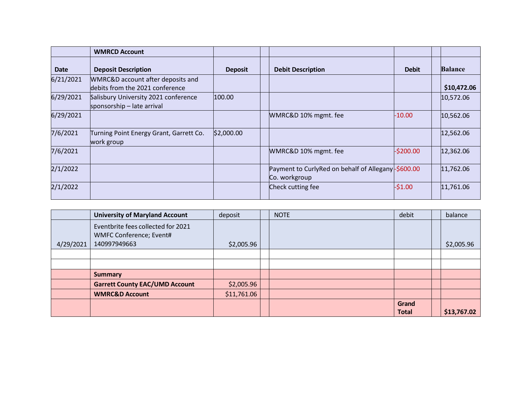|             | <b>WMRCD Account</b>                                                 |                |                                                                     |              |                |
|-------------|----------------------------------------------------------------------|----------------|---------------------------------------------------------------------|--------------|----------------|
| <b>Date</b> | <b>Deposit Description</b>                                           | <b>Deposit</b> | <b>Debit Description</b>                                            | <b>Debit</b> | <b>Balance</b> |
| 6/21/2021   | WMRC&D account after deposits and<br>debits from the 2021 conference |                |                                                                     |              | \$10,472.06    |
| 6/29/2021   | Salisbury University 2021 conference<br>sponsorship - late arrival   | 100.00         |                                                                     |              | 10,572.06      |
| 6/29/2021   |                                                                      |                | WMRC&D 10% mgmt. fee                                                | $-10.00$     | 10,562.06      |
| 7/6/2021    | Turning Point Energy Grant, Garrett Co.<br>work group                | \$2,000.00     |                                                                     |              | 12,562.06      |
| 7/6/2021    |                                                                      |                | WMRC&D 10% mgmt. fee                                                | $-$ \$200.00 | 12,362.06      |
| 2/1/2022    |                                                                      |                | Payment to CurlyRed on behalf of Allegany-\$600.00<br>Co. workgroup |              | 11,762.06      |
| 2/1/2022    |                                                                      |                | Check cutting fee                                                   | $-51.00$     | 11,761.06      |

|           | <b>University of Maryland Account</b>                                         | deposit     | <b>NOTE</b> | debit                 | balance     |
|-----------|-------------------------------------------------------------------------------|-------------|-------------|-----------------------|-------------|
| 4/29/2021 | Eventbrite fees collected for 2021<br>WMFC Conference; Event#<br>140997949663 | \$2,005.96  |             |                       | \$2,005.96  |
|           |                                                                               |             |             |                       |             |
|           |                                                                               |             |             |                       |             |
|           | <b>Summary</b>                                                                |             |             |                       |             |
|           | <b>Garrett County EAC/UMD Account</b>                                         | \$2,005.96  |             |                       |             |
|           | <b>WMRC&amp;D Account</b>                                                     | \$11,761.06 |             |                       |             |
|           |                                                                               |             |             | Grand<br><b>Total</b> | \$13,767.02 |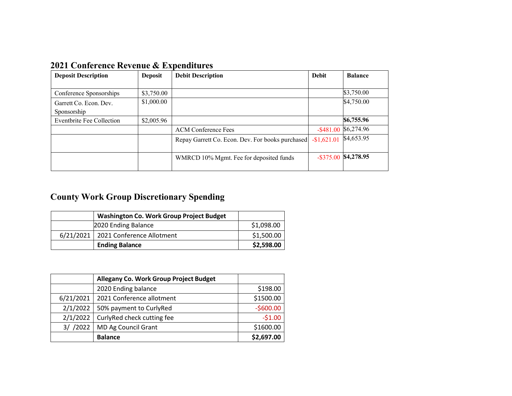| <b>Deposit Description</b>       | <b>Deposit</b> | <b>Debit Description</b>                         | <b>Debit</b> | <b>Balance</b> |
|----------------------------------|----------------|--------------------------------------------------|--------------|----------------|
|                                  |                |                                                  |              |                |
| Conference Sponsorships          | \$3,750.00     |                                                  |              | \$3,750.00     |
| Garrett Co. Econ. Dev.           | \$1,000.00     |                                                  |              | \$4,750.00     |
| Sponsorship                      |                |                                                  |              |                |
| <b>Eventbrite Fee Collection</b> | \$2,005.96     |                                                  |              | \$6,755.96     |
|                                  |                | <b>ACM Conference Fees</b>                       | $-$ \$481.00 | \$6,274.96     |
|                                  |                | Repay Garrett Co. Econ. Dev. For books purchased | $-$1,621.01$ | \$4,653.95     |
|                                  |                |                                                  |              |                |
|                                  |                | WMRCD 10% Mgmt. Fee for deposited funds          | $-$ \$375.00 | \$4,278.95     |
|                                  |                |                                                  |              |                |

**2021 Conference Revenue & Expenditures**

# **County Work Group Discretionary Spending**

| <b>Washington Co. Work Group Project Budget</b> |            |  |  |  |
|-------------------------------------------------|------------|--|--|--|
| 2020 Ending Balance                             | \$1,098.00 |  |  |  |
| 6/21/2021   2021 Conference Allotment           | \$1,500.00 |  |  |  |
| <b>Ending Balance</b>                           | \$2,598.00 |  |  |  |

|           | Allegany Co. Work Group Project Budget |            |
|-----------|----------------------------------------|------------|
|           | 2020 Ending balance                    | \$198.00   |
| 6/21/2021 | 2021 Conference allotment              | \$1500.00  |
| 2/1/2022  | 50% payment to CurlyRed                | $-$600.00$ |
| 2/1/2022  | CurlyRed check cutting fee             | $-51.00$   |
| 3/ / 2022 | MD Ag Council Grant                    | \$1600.00  |
|           | <b>Balance</b>                         | \$2,697.00 |